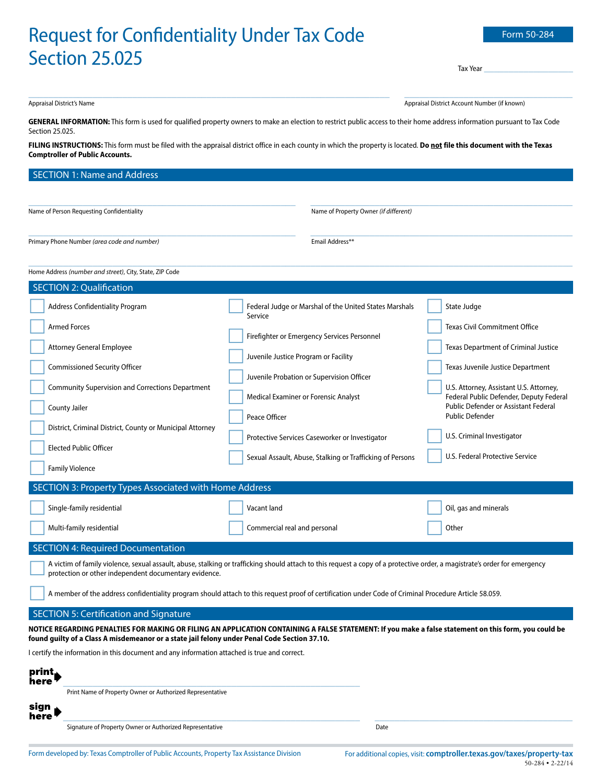# Request for Confidentiality Under Tay Code

| <u>Request for Confidentiality Uniter Tax Coup</u>                                                                                                                                                                                                                                                                  |                                                                                                                                                                                                                                                                                                                                                                               | <b>LUITLU 20</b>                                                                                                                                                                                                                                                                                                                                          |  |  |
|---------------------------------------------------------------------------------------------------------------------------------------------------------------------------------------------------------------------------------------------------------------------------------------------------------------------|-------------------------------------------------------------------------------------------------------------------------------------------------------------------------------------------------------------------------------------------------------------------------------------------------------------------------------------------------------------------------------|-----------------------------------------------------------------------------------------------------------------------------------------------------------------------------------------------------------------------------------------------------------------------------------------------------------------------------------------------------------|--|--|
| <b>Section 25.025</b>                                                                                                                                                                                                                                                                                               |                                                                                                                                                                                                                                                                                                                                                                               |                                                                                                                                                                                                                                                                                                                                                           |  |  |
|                                                                                                                                                                                                                                                                                                                     |                                                                                                                                                                                                                                                                                                                                                                               | Tax Year                                                                                                                                                                                                                                                                                                                                                  |  |  |
| Appraisal District's Name                                                                                                                                                                                                                                                                                           |                                                                                                                                                                                                                                                                                                                                                                               | Appraisal District Account Number (if known)                                                                                                                                                                                                                                                                                                              |  |  |
| GENERAL INFORMATION: This form is used for qualified property owners to make an election to restrict public access to their home address information pursuant to Tax Code<br>Section 25.025.                                                                                                                        |                                                                                                                                                                                                                                                                                                                                                                               |                                                                                                                                                                                                                                                                                                                                                           |  |  |
| FILING INSTRUCTIONS: This form must be filed with the appraisal district office in each county in which the property is located. Do not file this document with the Texas<br><b>Comptroller of Public Accounts.</b>                                                                                                 |                                                                                                                                                                                                                                                                                                                                                                               |                                                                                                                                                                                                                                                                                                                                                           |  |  |
| <b>SECTION 1: Name and Address</b>                                                                                                                                                                                                                                                                                  |                                                                                                                                                                                                                                                                                                                                                                               |                                                                                                                                                                                                                                                                                                                                                           |  |  |
|                                                                                                                                                                                                                                                                                                                     |                                                                                                                                                                                                                                                                                                                                                                               |                                                                                                                                                                                                                                                                                                                                                           |  |  |
| Name of Person Requesting Confidentiality                                                                                                                                                                                                                                                                           | Name of Property Owner (if different)                                                                                                                                                                                                                                                                                                                                         |                                                                                                                                                                                                                                                                                                                                                           |  |  |
| Primary Phone Number (area code and number)                                                                                                                                                                                                                                                                         | Email Address**                                                                                                                                                                                                                                                                                                                                                               |                                                                                                                                                                                                                                                                                                                                                           |  |  |
| Home Address (number and street), City, State, ZIP Code                                                                                                                                                                                                                                                             |                                                                                                                                                                                                                                                                                                                                                                               |                                                                                                                                                                                                                                                                                                                                                           |  |  |
| <b>SECTION 2: Qualification</b>                                                                                                                                                                                                                                                                                     |                                                                                                                                                                                                                                                                                                                                                                               |                                                                                                                                                                                                                                                                                                                                                           |  |  |
| <b>Address Confidentiality Program</b><br><b>Armed Forces</b><br><b>Attorney General Employee</b><br><b>Commissioned Security Officer</b><br><b>Community Supervision and Corrections Department</b><br>County Jailer<br>District, Criminal District, County or Municipal Attorney<br><b>Elected Public Officer</b> | Federal Judge or Marshal of the United States Marshals<br>Service<br>Firefighter or Emergency Services Personnel<br>Juvenile Justice Program or Facility<br>Juvenile Probation or Supervision Officer<br>Medical Examiner or Forensic Analyst<br>Peace Officer<br>Protective Services Caseworker or Investigator<br>Sexual Assault, Abuse, Stalking or Trafficking of Persons | State Judge<br><b>Texas Civil Commitment Office</b><br>Texas Department of Criminal Justice<br>Texas Juvenile Justice Department<br>U.S. Attorney, Assistant U.S. Attorney,<br>Federal Public Defender, Deputy Federal<br>Public Defender or Assistant Federal<br><b>Public Defender</b><br>U.S. Criminal Investigator<br>U.S. Federal Protective Service |  |  |
| <b>Family Violence</b>                                                                                                                                                                                                                                                                                              |                                                                                                                                                                                                                                                                                                                                                                               |                                                                                                                                                                                                                                                                                                                                                           |  |  |
| SECTION 3: Property Types Associated with Home Address                                                                                                                                                                                                                                                              |                                                                                                                                                                                                                                                                                                                                                                               |                                                                                                                                                                                                                                                                                                                                                           |  |  |
| Single-family residential                                                                                                                                                                                                                                                                                           | Vacant land                                                                                                                                                                                                                                                                                                                                                                   | Oil, gas and minerals                                                                                                                                                                                                                                                                                                                                     |  |  |
| Multi-family residential                                                                                                                                                                                                                                                                                            | Commercial real and personal                                                                                                                                                                                                                                                                                                                                                  | Other                                                                                                                                                                                                                                                                                                                                                     |  |  |

# SECTION 4: Required Documentation

 A victim of family violence, sexual assault, abuse, stalking or trafficking should attach to this request a copy of a protective order, a magistrate's order for emergency protection or other independent documentary evidence.

A member of the address confidentiality program should attach to this request proof of certification under Code of Criminal Procedure Article 58.059.

# SECTION 5: Certification and Signature

**NOTICE REGARDING PENALTIES FOR MAKING OR FILING AN APPLICATION CONTAINING A FALSE STATEMENT: If you make a false statement on this form, you could be found guilty of a Class A misdemeanor or a state jail felony under Penal Code Section 37.10.**

I certify the information in this document and any information attached is true and correct.

| print<br>here  |                                                           |      |
|----------------|-----------------------------------------------------------|------|
|                | Print Name of Property Owner or Authorized Representative |      |
| sign<br>here l |                                                           |      |
|                | Signature of Property Owner or Authorized Representative  | Date |
|                |                                                           |      |